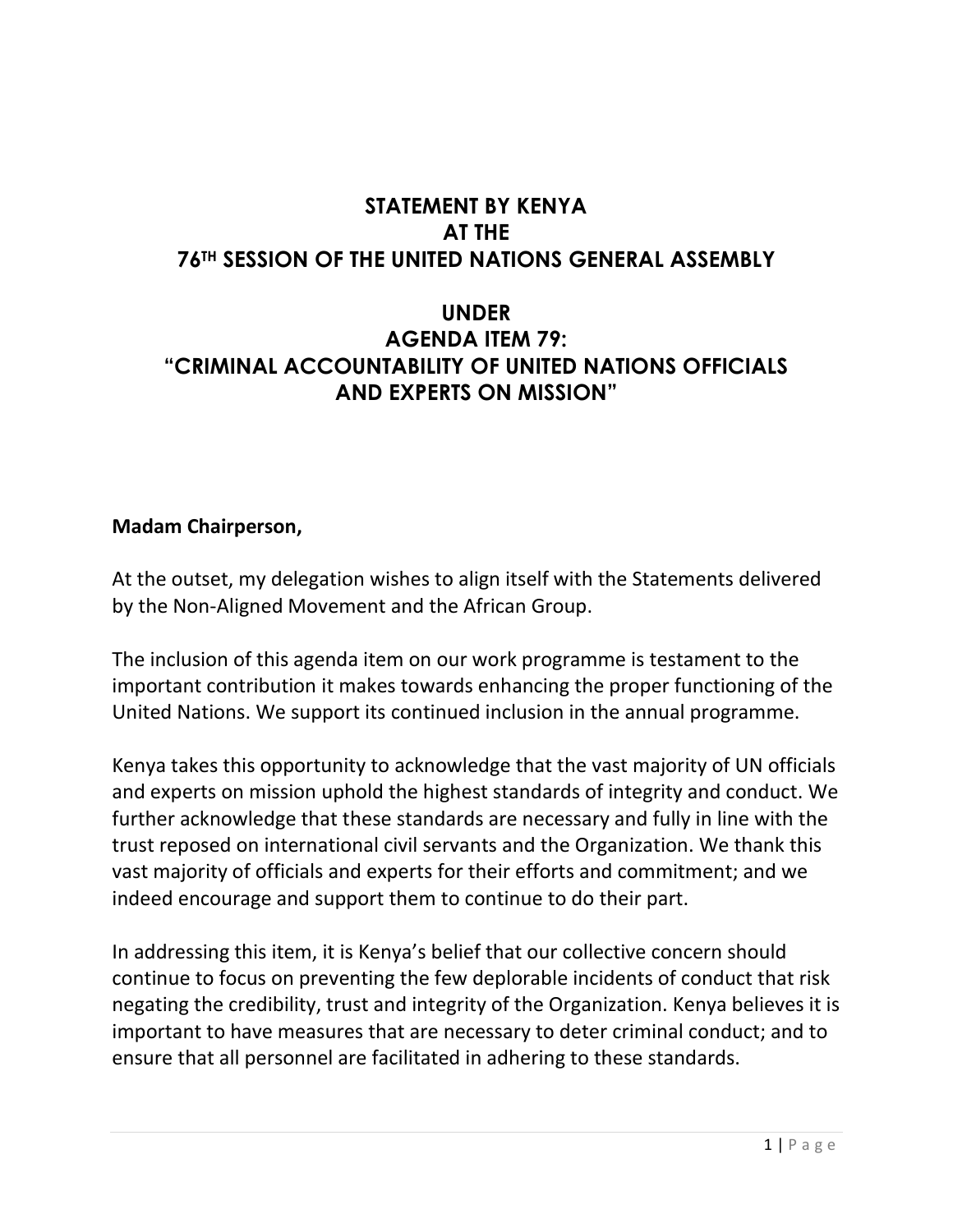## **STATEMENT BY KENYA AT THE 76TH SESSION OF THE UNITED NATIONS GENERAL ASSEMBLY**

## **UNDER AGENDA ITEM 79: "CRIMINAL ACCOUNTABILITY OF UNITED NATIONS OFFICIALS AND EXPERTS ON MISSION"**

## **Madam Chairperson,**

At the outset, my delegation wishes to align itself with the Statements delivered by the Non-Aligned Movement and the African Group.

The inclusion of this agenda item on our work programme is testament to the important contribution it makes towards enhancing the proper functioning of the United Nations. We support its continued inclusion in the annual programme.

Kenya takes this opportunity to acknowledge that the vast majority of UN officials and experts on mission uphold the highest standards of integrity and conduct. We further acknowledge that these standards are necessary and fully in line with the trust reposed on international civil servants and the Organization. We thank this vast majority of officials and experts for their efforts and commitment; and we indeed encourage and support them to continue to do their part.

In addressing this item, it is Kenya's belief that our collective concern should continue to focus on preventing the few deplorable incidents of conduct that risk negating the credibility, trust and integrity of the Organization. Kenya believes it is important to have measures that are necessary to deter criminal conduct; and to ensure that all personnel are facilitated in adhering to these standards.